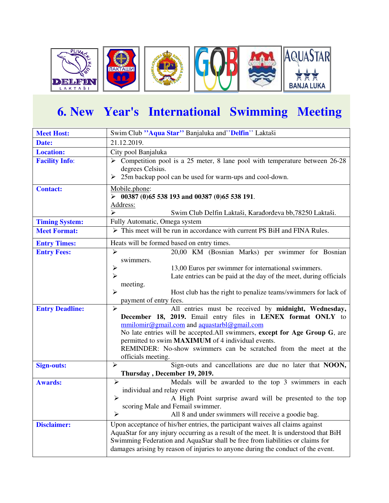

## **6. New Year's International Swimming Meeting**

| <b>Meet Host:</b>      | Swim Club "Aqua Star" Banjaluka and "Delfin" Laktaši                                          |  |  |  |
|------------------------|-----------------------------------------------------------------------------------------------|--|--|--|
| Date:                  | 21.12.2019.                                                                                   |  |  |  |
| <b>Location:</b>       | City pool Banjaluka                                                                           |  |  |  |
| <b>Facility Info:</b>  | $\triangleright$ Competition pool is a 25 meter, 8 lane pool with temperature between 26-28   |  |  |  |
|                        | degrees Celsius.                                                                              |  |  |  |
|                        | 25m backup pool can be used for warm-ups and cool-down.<br>➤                                  |  |  |  |
| <b>Contact:</b>        | Mobile.phone:                                                                                 |  |  |  |
|                        | $\geq$ 00387 (0)65 538 193 and 00387 (0)65 538 191.                                           |  |  |  |
|                        | Address:                                                                                      |  |  |  |
|                        | ↘<br>Swim Club Delfin Laktaši, Karađorđeva bb, 78250 Laktaši.                                 |  |  |  |
| <b>Timing System:</b>  | Fully Automatic, Omega system                                                                 |  |  |  |
| <b>Meet Format:</b>    | $\triangleright$ This meet will be run in accordance with current PS BiH and FINA Rules.      |  |  |  |
| <b>Entry Times:</b>    | Heats will be formed based on entry times.                                                    |  |  |  |
| <b>Entry Fees:</b>     | $\blacktriangleright$<br>20,00 KM (Bosnian Marks) per swimmer for Bosnian                     |  |  |  |
|                        | swimmers.                                                                                     |  |  |  |
|                        | ⋗<br>13,00 Euros per swimmer for international swimmers.                                      |  |  |  |
|                        | Late entries can be paid at the day of the meet, during officials<br>⋗                        |  |  |  |
|                        | meeting.                                                                                      |  |  |  |
|                        | ↘<br>Host club has the right to penalize teams/swimmers for lack of<br>payment of entry fees. |  |  |  |
| <b>Entry Deadline:</b> | $\blacktriangleright$<br>All entries must be received by midnight, Wednesday,                 |  |  |  |
|                        | December 18, 2019. Email entry files in LENEX format ONLY to                                  |  |  |  |
|                        | mmilomir@gmail.com and aquastarbl@gmail.com                                                   |  |  |  |
|                        | No late entries will be accepted. All swimmers, except for Age Group G, are                   |  |  |  |
|                        | permitted to swim <b>MAXIMUM</b> of 4 individual events.                                      |  |  |  |
|                        | REMINDER: No-show swimmers can be scratched from the meet at the                              |  |  |  |
|                        | officials meeting.                                                                            |  |  |  |
| <b>Sign-outs:</b>      | $\blacktriangleright$<br>Sign-outs and cancellations are due no later that NOON,              |  |  |  |
|                        | Thursday, December 19, 2019.                                                                  |  |  |  |
| <b>Awards:</b>         | Medals will be awarded to the top 3 swimmers in each<br>$\blacktriangleright$                 |  |  |  |
|                        | individual and relay event                                                                    |  |  |  |
|                        | A High Point surprise award will be presented to the top<br>➤                                 |  |  |  |
|                        | scoring Male and Femail swimmer.                                                              |  |  |  |
|                        | $\blacktriangleright$<br>All 8 and under swimmers will receive a goodie bag.                  |  |  |  |
| <b>Disclaimer:</b>     | Upon acceptance of his/her entries, the participant waives all claims against                 |  |  |  |
|                        | AquaStar for any injury occurring as a result of the meet. It is understood that BiH          |  |  |  |
|                        | Swimming Federation and AquaStar shall be free from liabilities or claims for                 |  |  |  |
|                        | damages arising by reason of injuries to anyone during the conduct of the event.              |  |  |  |